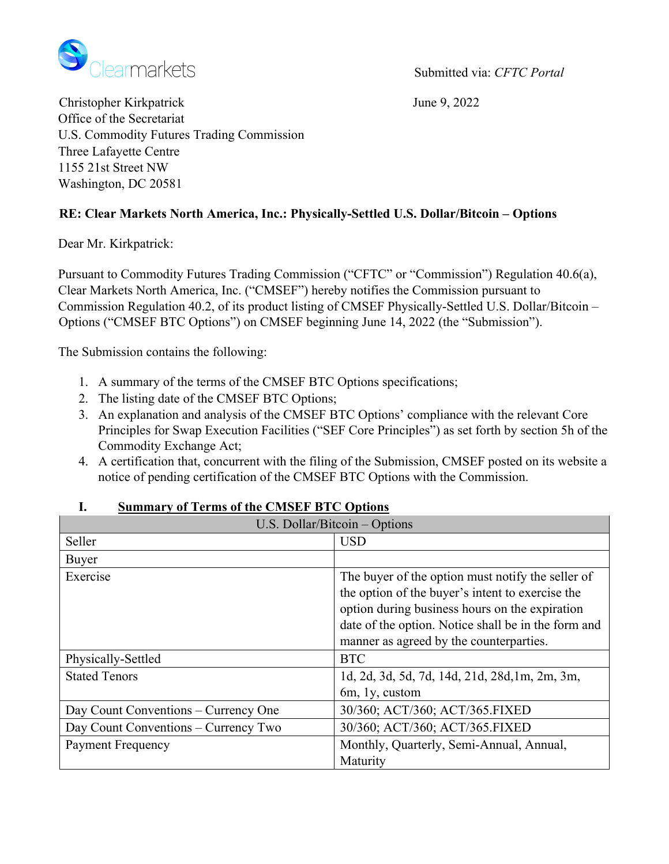

Christopher Kirkpatrick June 9, 2022 Office of the Secretariat U.S. Commodity Futures Trading Commission Three Lafayette Centre 1155 21st Street NW Washington, DC 20581

# **RE: Clear Markets North America, Inc.: Physically-Settled U.S. Dollar/Bitcoin – Options**

Dear Mr. Kirkpatrick:

Pursuant to Commodity Futures Trading Commission ("CFTC" or "Commission") Regulation 40.6(a), Clear Markets North America, Inc. ("CMSEF") hereby notifies the Commission pursuant to Commission Regulation 40.2, of its product listing of CMSEF Physically-Settled U.S. Dollar/Bitcoin – Options ("CMSEF BTC Options") on CMSEF beginning June 14, 2022 (the "Submission").

The Submission contains the following:

- 1. A summary of the terms of the CMSEF BTC Options specifications;
- 2. The listing date of the CMSEF BTC Options;
- 3. An explanation and analysis of the CMSEF BTC Options' compliance with the relevant Core Principles for Swap Execution Facilities ("SEF Core Principles") as set forth by section 5h of the Commodity Exchange Act;
- 4. A certification that, concurrent with the filing of the Submission, CMSEF posted on its website a notice of pending certification of the CMSEF BTC Options with the Commission.

| U.S. Dollar/Bitcoin - Options        |                                                     |
|--------------------------------------|-----------------------------------------------------|
| Seller                               | <b>USD</b>                                          |
| Buyer                                |                                                     |
| Exercise                             | The buyer of the option must notify the seller of   |
|                                      | the option of the buyer's intent to exercise the    |
|                                      | option during business hours on the expiration      |
|                                      | date of the option. Notice shall be in the form and |
|                                      | manner as agreed by the counterparties.             |
| Physically-Settled                   | <b>BTC</b>                                          |
| <b>Stated Tenors</b>                 | 1d, 2d, 3d, 5d, 7d, 14d, 21d, 28d, 1m, 2m, 3m,      |
|                                      | 6m, 1y, custom                                      |
| Day Count Conventions - Currency One | 30/360; ACT/360; ACT/365.FIXED                      |
| Day Count Conventions – Currency Two | 30/360; ACT/360; ACT/365.FIXED                      |
| <b>Payment Frequency</b>             | Monthly, Quarterly, Semi-Annual, Annual,            |
|                                      | Maturity                                            |

#### **I. Summary of Terms of the CMSEF BTC Options**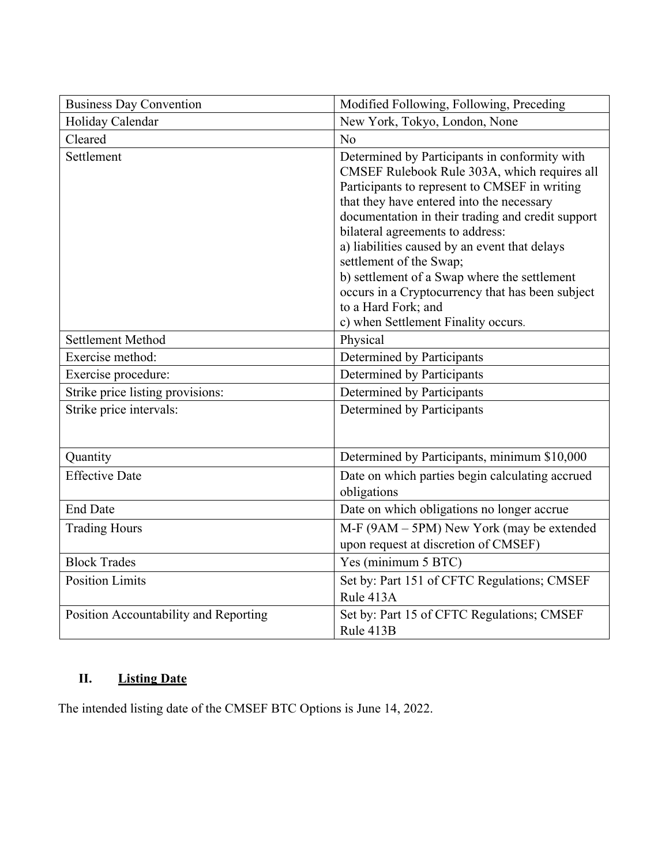| <b>Business Day Convention</b>        | Modified Following, Following, Preceding                                                                                                                                                                                                                                                                                                                                                                                                                                                                                           |
|---------------------------------------|------------------------------------------------------------------------------------------------------------------------------------------------------------------------------------------------------------------------------------------------------------------------------------------------------------------------------------------------------------------------------------------------------------------------------------------------------------------------------------------------------------------------------------|
| Holiday Calendar                      | New York, Tokyo, London, None                                                                                                                                                                                                                                                                                                                                                                                                                                                                                                      |
| Cleared                               | N <sub>o</sub>                                                                                                                                                                                                                                                                                                                                                                                                                                                                                                                     |
| Settlement                            | Determined by Participants in conformity with<br>CMSEF Rulebook Rule 303A, which requires all<br>Participants to represent to CMSEF in writing<br>that they have entered into the necessary<br>documentation in their trading and credit support<br>bilateral agreements to address:<br>a) liabilities caused by an event that delays<br>settlement of the Swap;<br>b) settlement of a Swap where the settlement<br>occurs in a Cryptocurrency that has been subject<br>to a Hard Fork; and<br>c) when Settlement Finality occurs. |
| <b>Settlement Method</b>              | Physical                                                                                                                                                                                                                                                                                                                                                                                                                                                                                                                           |
| Exercise method:                      | Determined by Participants                                                                                                                                                                                                                                                                                                                                                                                                                                                                                                         |
| Exercise procedure:                   | Determined by Participants                                                                                                                                                                                                                                                                                                                                                                                                                                                                                                         |
| Strike price listing provisions:      | Determined by Participants                                                                                                                                                                                                                                                                                                                                                                                                                                                                                                         |
| Strike price intervals:               | Determined by Participants                                                                                                                                                                                                                                                                                                                                                                                                                                                                                                         |
| Quantity                              | Determined by Participants, minimum \$10,000                                                                                                                                                                                                                                                                                                                                                                                                                                                                                       |
| <b>Effective Date</b>                 | Date on which parties begin calculating accrued<br>obligations                                                                                                                                                                                                                                                                                                                                                                                                                                                                     |
| <b>End Date</b>                       | Date on which obligations no longer accrue                                                                                                                                                                                                                                                                                                                                                                                                                                                                                         |
| <b>Trading Hours</b>                  | M-F (9AM – 5PM) New York (may be extended<br>upon request at discretion of CMSEF)                                                                                                                                                                                                                                                                                                                                                                                                                                                  |
| <b>Block Trades</b>                   | Yes (minimum 5 BTC)                                                                                                                                                                                                                                                                                                                                                                                                                                                                                                                |
| <b>Position Limits</b>                | Set by: Part 151 of CFTC Regulations; CMSEF<br>Rule 413A                                                                                                                                                                                                                                                                                                                                                                                                                                                                           |
| Position Accountability and Reporting | Set by: Part 15 of CFTC Regulations; CMSEF<br>Rule 413B                                                                                                                                                                                                                                                                                                                                                                                                                                                                            |

# **II. Listing Date**

The intended listing date of the CMSEF BTC Options is June 14, 2022.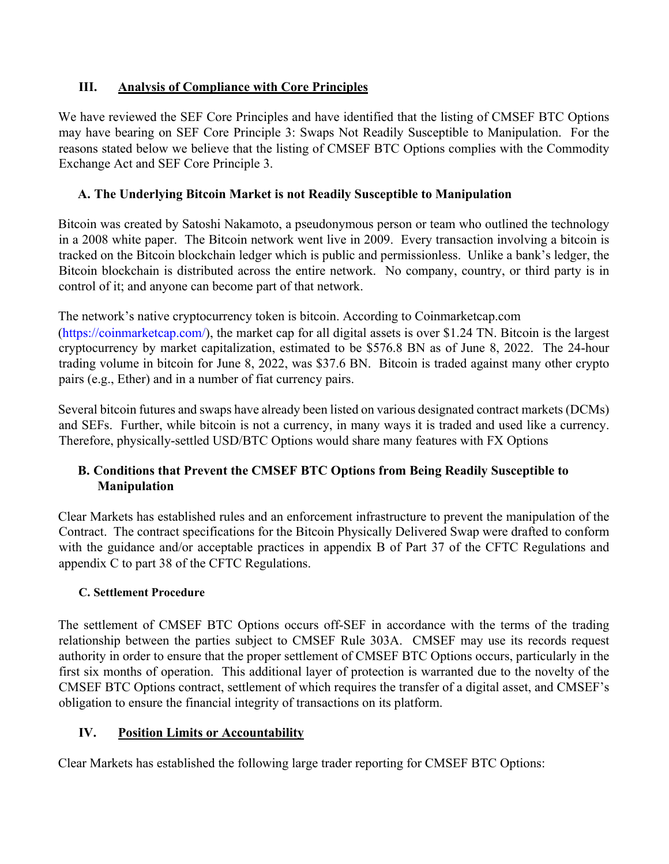# **III. Analysis of Compliance with Core Principles**

We have reviewed the SEF Core Principles and have identified that the listing of CMSEF BTC Options may have bearing on SEF Core Principle 3: Swaps Not Readily Susceptible to Manipulation. For the reasons stated below we believe that the listing of CMSEF BTC Options complies with the Commodity Exchange Act and SEF Core Principle 3.

# **A. The Underlying Bitcoin Market is not Readily Susceptible to Manipulation**

Bitcoin was created by Satoshi Nakamoto, a pseudonymous person or team who outlined the technology in a 2008 white paper. The Bitcoin network went live in 2009. Every transaction involving a bitcoin is tracked on the Bitcoin blockchain ledger which is public and permissionless. Unlike a bank's ledger, the Bitcoin blockchain is distributed across the entire network. No company, country, or third party is in control of it; and anyone can become part of that network.

The network's native cryptocurrency token is bitcoin. According to Coinmarketcap.com

(https://coinmarketcap.com/), the market cap for all digital assets is over \$1.24 TN. Bitcoin is the largest cryptocurrency by market capitalization, estimated to be \$576.8 BN as of June 8, 2022. The 24-hour trading volume in bitcoin for June 8, 2022, was \$37.6 BN. Bitcoin is traded against many other crypto pairs (e.g., Ether) and in a number of fiat currency pairs.

Several bitcoin futures and swaps have already been listed on various designated contract markets (DCMs) and SEFs. Further, while bitcoin is not a currency, in many ways it is traded and used like a currency. Therefore, physically-settled USD/BTC Options would share many features with FX Options

# **B. Conditions that Prevent the CMSEF BTC Options from Being Readily Susceptible to Manipulation**

Clear Markets has established rules and an enforcement infrastructure to prevent the manipulation of the Contract. The contract specifications for the Bitcoin Physically Delivered Swap were drafted to conform with the guidance and/or acceptable practices in appendix B of Part 37 of the CFTC Regulations and appendix C to part 38 of the CFTC Regulations.

# **C. Settlement Procedure**

The settlement of CMSEF BTC Options occurs off-SEF in accordance with the terms of the trading relationship between the parties subject to CMSEF Rule 303A. CMSEF may use its records request authority in order to ensure that the proper settlement of CMSEF BTC Options occurs, particularly in the first six months of operation. This additional layer of protection is warranted due to the novelty of the CMSEF BTC Options contract, settlement of which requires the transfer of a digital asset, and CMSEF's obligation to ensure the financial integrity of transactions on its platform.

# **IV. Position Limits or Accountability**

Clear Markets has established the following large trader reporting for CMSEF BTC Options: